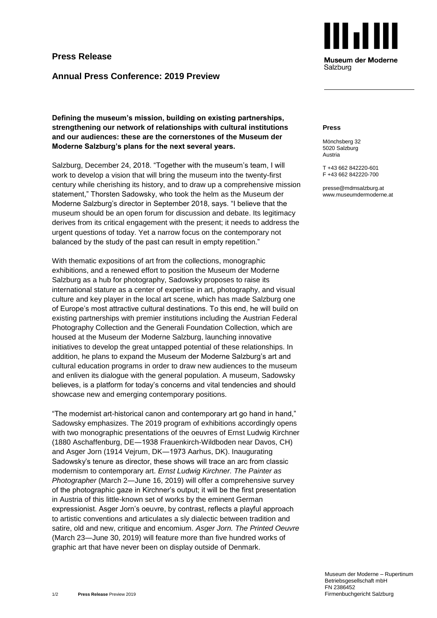# **Press Release**

## **Annual Press Conference: 2019 Preview**

**Defining the museum's mission, building on existing partnerships, strengthening our network of relationships with cultural institutions and our audiences: these are the cornerstones of the Museum der Moderne Salzburg's plans for the next several years.**

Salzburg, December 24, 2018. "Together with the museum's team, I will work to develop a vision that will bring the museum into the twenty-first century while cherishing its history, and to draw up a comprehensive mission statement," Thorsten Sadowsky, who took the helm as the Museum der Moderne Salzburg's director in September 2018, says. "I believe that the museum should be an open forum for discussion and debate. Its legitimacy derives from its critical engagement with the present; it needs to address the urgent questions of today. Yet a narrow focus on the contemporary not balanced by the study of the past can result in empty repetition."

With thematic expositions of art from the collections, monographic exhibitions, and a renewed effort to position the Museum der Moderne Salzburg as a hub for photography, Sadowsky proposes to raise its international stature as a center of expertise in art, photography, and visual culture and key player in the local art scene, which has made Salzburg one of Europe's most attractive cultural destinations. To this end, he will build on existing partnerships with premier institutions including the Austrian Federal Photography Collection and the Generali Foundation Collection, which are housed at the Museum der Moderne Salzburg, launching innovative initiatives to develop the great untapped potential of these relationships. In addition, he plans to expand the Museum der Moderne Salzburg's art and cultural education programs in order to draw new audiences to the museum and enliven its dialogue with the general population. A museum, Sadowsky believes, is a platform for today's concerns and vital tendencies and should showcase new and emerging contemporary positions.

"The modernist art-historical canon and contemporary art go hand in hand," Sadowsky emphasizes. The 2019 program of exhibitions accordingly opens with two monographic presentations of the oeuvres of Ernst Ludwig Kirchner (1880 Aschaffenburg, DE―1938 Frauenkirch-Wildboden near Davos, CH) and Asger Jorn (1914 Vejrum, DK―1973 Aarhus, DK). Inaugurating Sadowsky's tenure as director, these shows will trace an arc from classic modernism to contemporary art. *Ernst Ludwig Kirchner. The Painter as Photographer* (March 2―June 16, 2019) will offer a comprehensive survey of the photographic gaze in Kirchner's output; it will be the first presentation in Austria of this little-known set of works by the eminent German expressionist. Asger Jorn's oeuvre, by contrast, reflects a playful approach to artistic conventions and articulates a sly dialectic between tradition and satire, old and new, critique and encomium. *Asger Jorn. The Printed Oeuvre* (March 23―June 30, 2019) will feature more than five hundred works of graphic art that have never been on display outside of Denmark.



**Museum der Moderne** Salzburg

#### **Press**

Mönchsberg 32 5020 Salzburg Austria

T +43 662 842220-601 F +43 662 842220-700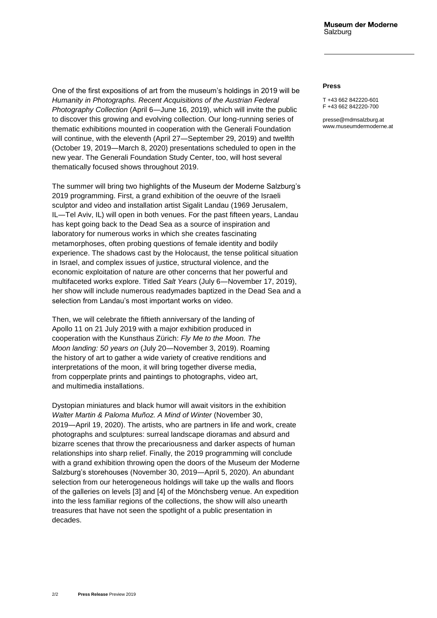One of the first expositions of art from the museum's holdings in 2019 will be *Humanity in Photographs. Recent Acquisitions of the Austrian Federal Photography Collection* (April 6―June 16, 2019), which will invite the public to discover this growing and evolving collection. Our long-running series of thematic exhibitions mounted in cooperation with the Generali Foundation will continue, with the eleventh (April 27―September 29, 2019) and twelfth (October 19, 2019―March 8, 2020) presentations scheduled to open in the new year. The Generali Foundation Study Center, too, will host several thematically focused shows throughout 2019.

The summer will bring two highlights of the Museum der Moderne Salzburg's 2019 programming. First, a grand exhibition of the oeuvre of the Israeli sculptor and video and installation artist Sigalit Landau (1969 Jerusalem, IL―Tel Aviv, IL) will open in both venues. For the past fifteen years, Landau has kept going back to the Dead Sea as a source of inspiration and laboratory for numerous works in which she creates fascinating metamorphoses, often probing questions of female identity and bodily experience. The shadows cast by the Holocaust, the tense political situation in Israel, and complex issues of justice, structural violence, and the economic exploitation of nature are other concerns that her powerful and multifaceted works explore. Titled *Salt Years* (July 6―November 17, 2019), her show will include numerous readymades baptized in the Dead Sea and a selection from Landau's most important works on video.

Then, we will celebrate the fiftieth anniversary of the landing of Apollo 11 on 21 July 2019 with a major exhibition produced in cooperation with the Kunsthaus Zürich: *Fly Me to the Moon. The Moon landing: 50 years on* (July 20―November 3, 2019). Roaming the history of art to gather a wide variety of creative renditions and interpretations of the moon, it will bring together diverse media, from copperplate prints and paintings to photographs, video art, and multimedia installations.

Dystopian miniatures and black humor will await visitors in the exhibition *Walter Martin & Paloma Muñoz. A Mind of Winter* (November 30, 2019―April 19, 2020). The artists, who are partners in life and work, create photographs and sculptures: surreal landscape dioramas and absurd and bizarre scenes that throw the precariousness and darker aspects of human relationships into sharp relief. Finally, the 2019 programming will conclude with a grand exhibition throwing open the doors of the Museum der Moderne Salzburg's storehouses (November 30, 2019―April 5, 2020). An abundant selection from our heterogeneous holdings will take up the walls and floors of the galleries on levels [3] and [4] of the Mönchsberg venue. An expedition into the less familiar regions of the collections, the show will also unearth treasures that have not seen the spotlight of a public presentation in decades.

#### **Press**

T +43 662 842220-601 F +43 662 842220-700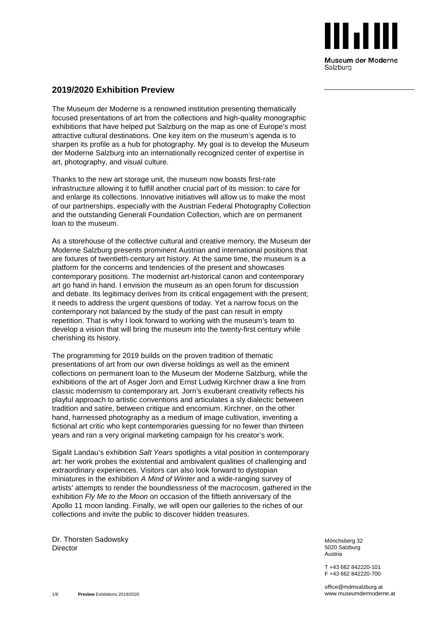

Salzburg

# **2019/2020 Exhibition Preview**

The Museum der Moderne is a renowned institution presenting thematically focused presentations of art from the collections and high-quality monographic exhibitions that have helped put Salzburg on the map as one of Europe's most attractive cultural destinations. One key item on the museum's agenda is to sharpen its profile as a hub for photography. My goal is to develop the Museum der Moderne Salzburg into an internationally recognized center of expertise in art, photography, and visual culture.

Thanks to the new art storage unit, the museum now boasts first-rate infrastructure allowing it to fulfill another crucial part of its mission: to care for and enlarge its collections. Innovative initiatives will allow us to make the most of our partnerships, especially with the Austrian Federal Photography Collection and the outstanding Generali Foundation Collection, which are on permanent loan to the museum.

As a storehouse of the collective cultural and creative memory, the Museum der Moderne Salzburg presents prominent Austrian and international positions that are fixtures of twentieth-century art history. At the same time, the museum is a platform for the concerns and tendencies of the present and showcases contemporary positions. The modernist art-historical canon and contemporary art go hand in hand. I envision the museum as an open forum for discussion and debate. Its legitimacy derives from its critical engagement with the present; it needs to address the urgent questions of today. Yet a narrow focus on the contemporary not balanced by the study of the past can result in empty repetition. That is why I look forward to working with the museum's team to develop a vision that will bring the museum into the twenty-first century while cherishing its history.

The programming for 2019 builds on the proven tradition of thematic presentations of art from our own diverse holdings as well as the eminent collections on permanent loan to the Museum der Moderne Salzburg, while the exhibitions of the art of Asger Jorn and Ernst Ludwig Kirchner draw a line from classic modernism to contemporary art. Jorn's exuberant creativity reflects his playful approach to artistic conventions and articulates a sly dialectic between tradition and satire, between critique and encomium. Kirchner, on the other hand, harnessed photography as a medium of image cultivation, inventing a fictional art critic who kept contemporaries guessing for no fewer than thirteen years and ran a very original marketing campaign for his creator's work.

Sigalit Landau's exhibition *Salt Years* spotlights a vital position in contemporary art: her work probes the existential and ambivalent qualities of challenging and extraordinary experiences. Visitors can also look forward to dystopian miniatures in the exhibition *A Mind of Winter* and a wide-ranging survey of artists' attempts to render the boundlessness of the macrocosm, gathered in the exhibition *Fly Me to the Moon* on occasion of the fiftieth anniversary of the Apollo 11 moon landing. Finally, we will open our galleries to the riches of our collections and invite the public to discover hidden treasures.

Dr. Thorsten Sadowsky **Director** 

Mönchsberg 32 5020 Salzburg Austria

T +43 662 842220-101 F +43 662 842220-700

office@mdmsalzburg.at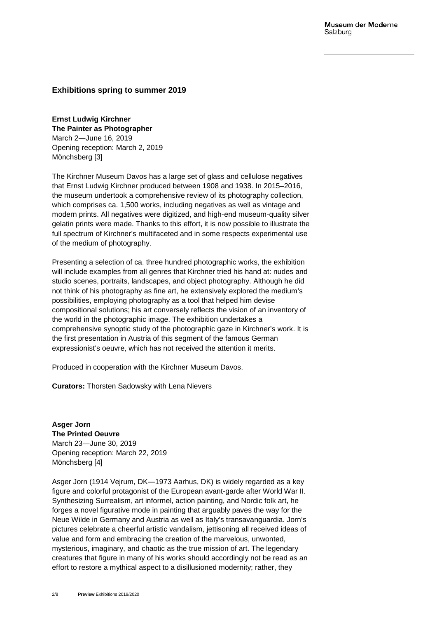### **Exhibitions spring to summer 2019**

**Ernst Ludwig Kirchner The Painter as Photographer** March 2―June 16, 2019 Opening reception: March 2, 2019 Mönchsberg [3]

The Kirchner Museum Davos has a large set of glass and cellulose negatives that Ernst Ludwig Kirchner produced between 1908 and 1938. In 2015–2016, the museum undertook a comprehensive review of its photography collection, which comprises ca. 1,500 works, including negatives as well as vintage and modern prints. All negatives were digitized, and high-end museum-quality silver gelatin prints were made. Thanks to this effort, it is now possible to illustrate the full spectrum of Kirchner's multifaceted and in some respects experimental use of the medium of photography.

Presenting a selection of ca. three hundred photographic works, the exhibition will include examples from all genres that Kirchner tried his hand at: nudes and studio scenes, portraits, landscapes, and object photography. Although he did not think of his photography as fine art, he extensively explored the medium's possibilities, employing photography as a tool that helped him devise compositional solutions; his art conversely reflects the vision of an inventory of the world in the photographic image. The exhibition undertakes a comprehensive synoptic study of the photographic gaze in Kirchner's work. It is the first presentation in Austria of this segment of the famous German expressionist's oeuvre, which has not received the attention it merits.

Produced in cooperation with the Kirchner Museum Davos.

**Curators:** Thorsten Sadowsky with Lena Nievers

**Asger Jorn The Printed Oeuvre** March 23―June 30, 2019 Opening reception: March 22, 2019 Mönchsberg [4]

Asger Jorn (1914 Vejrum, DK―1973 Aarhus, DK) is widely regarded as a key figure and colorful protagonist of the European avant-garde after World War II. Synthesizing Surrealism, art informel, action painting, and Nordic folk art, he forges a novel figurative mode in painting that arguably paves the way for the Neue Wilde in Germany and Austria as well as Italy's transavanguardia. Jorn's pictures celebrate a cheerful artistic vandalism, jettisoning all received ideas of value and form and embracing the creation of the marvelous, unwonted, mysterious, imaginary, and chaotic as the true mission of art. The legendary creatures that figure in many of his works should accordingly not be read as an effort to restore a mythical aspect to a disillusioned modernity; rather, they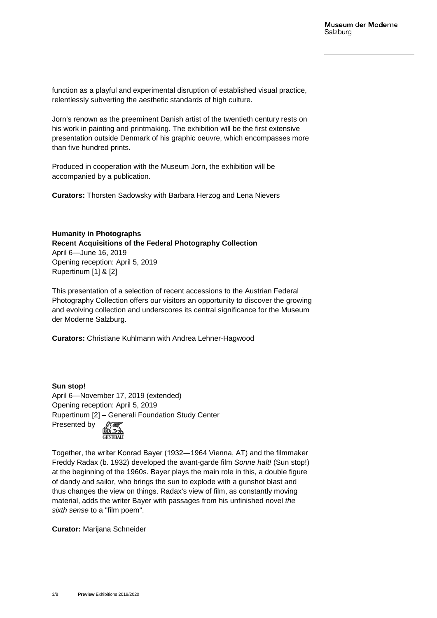function as a playful and experimental disruption of established visual practice, relentlessly subverting the aesthetic standards of high culture.

Jorn's renown as the preeminent Danish artist of the twentieth century rests on his work in painting and printmaking. The exhibition will be the first extensive presentation outside Denmark of his graphic oeuvre, which encompasses more than five hundred prints.

Produced in cooperation with the Museum Jorn, the exhibition will be accompanied by a publication.

**Curators:** Thorsten Sadowsky with Barbara Herzog and Lena Nievers

**Humanity in Photographs Recent Acquisitions of the Federal Photography Collection** April 6―June 16, 2019 Opening reception: April 5, 2019 Rupertinum [1] & [2]

This presentation of a selection of recent accessions to the Austrian Federal Photography Collection offers our visitors an opportunity to discover the growing and evolving collection and underscores its central significance for the Museum der Moderne Salzburg.

**Curators:** Christiane Kuhlmann with Andrea Lehner-Hagwood

**Sun stop!** April 6―November 17, 2019 (extended) Opening reception: April 5, 2019 Rupertinum [2] – Generali Foundation Study Center Presented by

Together, the writer Konrad Bayer (1932―1964 Vienna, AT) and the filmmaker Freddy Radax (b. 1932) developed the avant-garde film *Sonne halt!* (Sun stop!) at the beginning of the 1960s. Bayer plays the main role in this, a double figure of dandy and sailor, who brings the sun to explode with a gunshot blast and thus changes the view on things. Radax's view of film, as constantly moving material, adds the writer Bayer with passages from his unfinished novel *the sixth sense* to a "film poem".

**Curator:** Marijana Schneider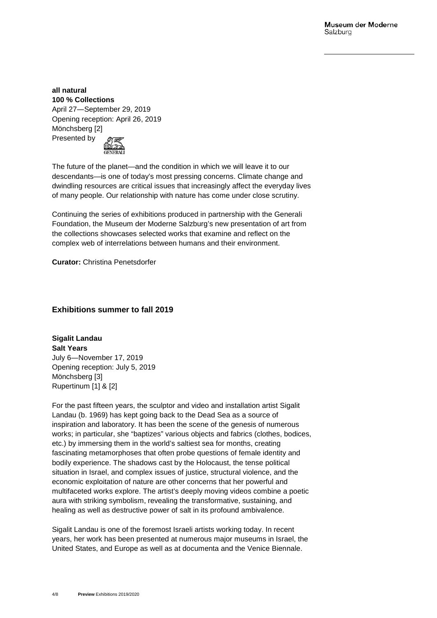**all natural 100 % Collections** April 27―September 29, 2019 Opening reception: April 26, 2019 Mönchsberg [2] Presented by



The future of the planet—and the condition in which we will leave it to our descendants—is one of today's most pressing concerns. Climate change and dwindling resources are critical issues that increasingly affect the everyday lives of many people. Our relationship with nature has come under close scrutiny.

Continuing the series of exhibitions produced in partnership with the Generali Foundation, the Museum der Moderne Salzburg's new presentation of art from the collections showcases selected works that examine and reflect on the complex web of interrelations between humans and their environment.

**Curator:** Christina Penetsdorfer

# **Exhibitions summer to fall 2019**

**Sigalit Landau Salt Years** July 6―November 17, 2019 Opening reception: July 5, 2019 Mönchsberg [3] Rupertinum [1] & [2]

For the past fifteen years, the sculptor and video and installation artist Sigalit Landau (b. 1969) has kept going back to the Dead Sea as a source of inspiration and laboratory. It has been the scene of the genesis of numerous works; in particular, she "baptizes" various objects and fabrics (clothes, bodices, etc.) by immersing them in the world's saltiest sea for months, creating fascinating metamorphoses that often probe questions of female identity and bodily experience. The shadows cast by the Holocaust, the tense political situation in Israel, and complex issues of justice, structural violence, and the economic exploitation of nature are other concerns that her powerful and multifaceted works explore. The artist's deeply moving videos combine a poetic aura with striking symbolism, revealing the transformative, sustaining, and healing as well as destructive power of salt in its profound ambivalence.

Sigalit Landau is one of the foremost Israeli artists working today. In recent years, her work has been presented at numerous major museums in Israel, the United States, and Europe as well as at documenta and the Venice Biennale.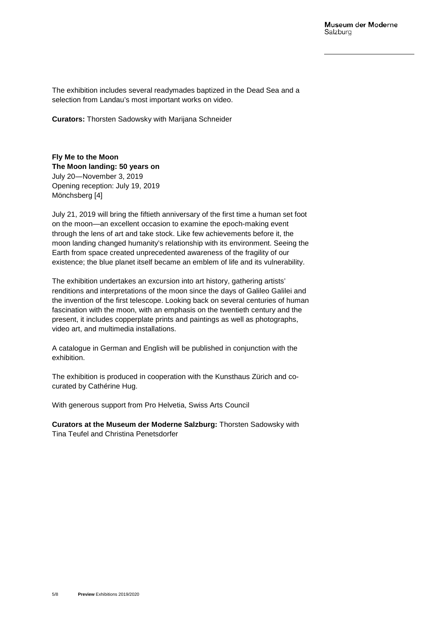The exhibition includes several readymades baptized in the Dead Sea and a selection from Landau's most important works on video.

**Curators:** Thorsten Sadowsky with Marijana Schneider

**Fly Me to the Moon The Moon landing: 50 years on** July 20―November 3, 2019 Opening reception: July 19, 2019 Mönchsberg [4]

July 21, 2019 will bring the fiftieth anniversary of the first time a human set foot on the moon—an excellent occasion to examine the epoch-making event through the lens of art and take stock. Like few achievements before it, the moon landing changed humanity's relationship with its environment. Seeing the Earth from space created unprecedented awareness of the fragility of our existence; the blue planet itself became an emblem of life and its vulnerability.

The exhibition undertakes an excursion into art history, gathering artists' renditions and interpretations of the moon since the days of Galileo Galilei and the invention of the first telescope. Looking back on several centuries of human fascination with the moon, with an emphasis on the twentieth century and the present, it includes copperplate prints and paintings as well as photographs, video art, and multimedia installations.

A catalogue in German and English will be published in conjunction with the exhibition.

The exhibition is produced in cooperation with the Kunsthaus Zürich and cocurated by Cathérine Hug.

With generous support from Pro Helvetia, Swiss Arts Council

**Curators at the Museum der Moderne Salzburg:** Thorsten Sadowsky with Tina Teufel and Christina Penetsdorfer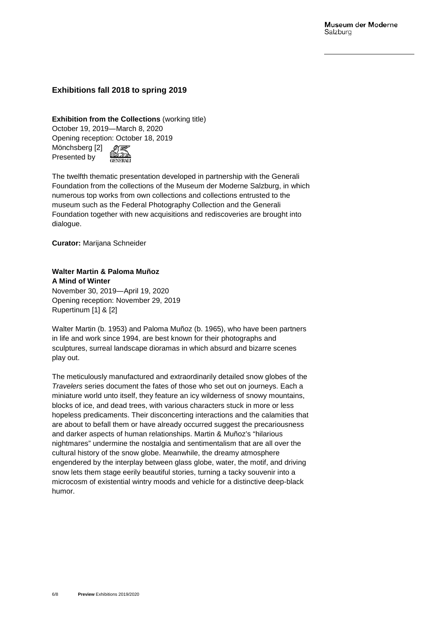# **Exhibitions fall 2018 to spring 2019**

### **Exhibition from the Collections** (working title)

October 19, 2019―March 8, 2020 Opening reception: October 18, 2019 Mönchsberg [2] Presented by

The twelfth thematic presentation developed in partnership with the Generali Foundation from the collections of the Museum der Moderne Salzburg, in which numerous top works from own collections and collections entrusted to the museum such as the Federal Photography Collection and the Generali Foundation together with new acquisitions and rediscoveries are brought into dialogue.

**Curator:** Marijana Schneider

# **Walter Martin & Paloma Muñoz A Mind of Winter**

November 30, 2019―April 19, 2020 Opening reception: November 29, 2019 Rupertinum [1] & [2]

Walter Martin (b. 1953) and Paloma Muñoz (b. 1965), who have been partners in life and work since 1994, are best known for their photographs and sculptures, surreal landscape dioramas in which absurd and bizarre scenes play out.

The meticulously manufactured and extraordinarily detailed snow globes of the *Travelers* series document the fates of those who set out on journeys. Each a miniature world unto itself, they feature an icy wilderness of snowy mountains, blocks of ice, and dead trees, with various characters stuck in more or less hopeless predicaments. Their disconcerting interactions and the calamities that are about to befall them or have already occurred suggest the precariousness and darker aspects of human relationships. Martin & Muñoz's "hilarious nightmares" undermine the nostalgia and sentimentalism that are all over the cultural history of the snow globe. Meanwhile, the dreamy atmosphere engendered by the interplay between glass globe, water, the motif, and driving snow lets them stage eerily beautiful stories, turning a tacky souvenir into a microcosm of existential wintry moods and vehicle for a distinctive deep-black humor.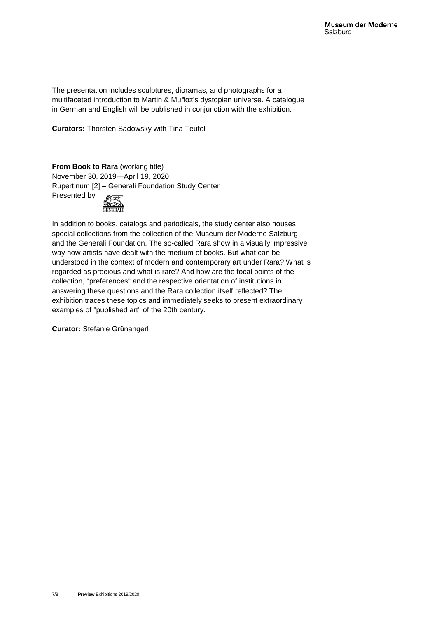The presentation includes sculptures, dioramas, and photographs for a multifaceted introduction to Martin & Muñoz's dystopian universe. A catalogue in German and English will be published in conjunction with the exhibition.

**Curators:** Thorsten Sadowsky with Tina Teufel

**From Book to Rara** (working title) November 30, 2019―April 19, 2020 Rupertinum [2] – Generali Foundation Study Center Presented by



In addition to books, catalogs and periodicals, the study center also houses special collections from the collection of the Museum der Moderne Salzburg and the Generali Foundation. The so-called Rara show in a visually impressive way how artists have dealt with the medium of books. But what can be understood in the context of modern and contemporary art under Rara? What is regarded as precious and what is rare? And how are the focal points of the collection, "preferences" and the respective orientation of institutions in answering these questions and the Rara collection itself reflected? The exhibition traces these topics and immediately seeks to present extraordinary examples of "published art" of the 20th century.

**Curator:** Stefanie Grünangerl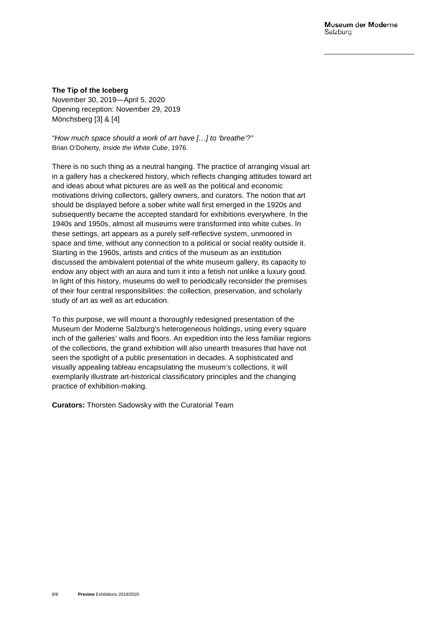#### **The Tip of the Iceberg**

November 30, 2019―April 5, 2020 Opening reception: November 29, 2019 Mönchsberg [3] & [4]

*"How much space should a work of art have […] to 'breathe'?"* Brian O'Doherty*, Inside the White Cube*, 1976.

There is no such thing as a neutral hanging. The practice of arranging visual art in a gallery has a checkered history, which reflects changing attitudes toward art and ideas about what pictures are as well as the political and economic motivations driving collectors, gallery owners, and curators. The notion that art should be displayed before a sober white wall first emerged in the 1920s and subsequently became the accepted standard for exhibitions everywhere. In the 1940s and 1950s, almost all museums were transformed into white cubes. In these settings, art appears as a purely self-reflective system, unmoored in space and time, without any connection to a political or social reality outside it. Starting in the 1960s, artists and critics of the museum as an institution discussed the ambivalent potential of the white museum gallery, its capacity to endow any object with an aura and turn it into a fetish not unlike a luxury good. In light of this history, museums do well to periodically reconsider the premises of their four central responsibilities: the collection, preservation, and scholarly study of art as well as art education.

To this purpose, we will mount a thoroughly redesigned presentation of the Museum der Moderne Salzburg's heterogeneous holdings, using every square inch of the galleries' walls and floors. An expedition into the less familiar regions of the collections, the grand exhibition will also unearth treasures that have not seen the spotlight of a public presentation in decades. A sophisticated and visually appealing tableau encapsulating the museum's collections, it will exemplarily illustrate art-historical classificatory principles and the changing practice of exhibition-making.

**Curators:** Thorsten Sadowsky with the Curatorial Team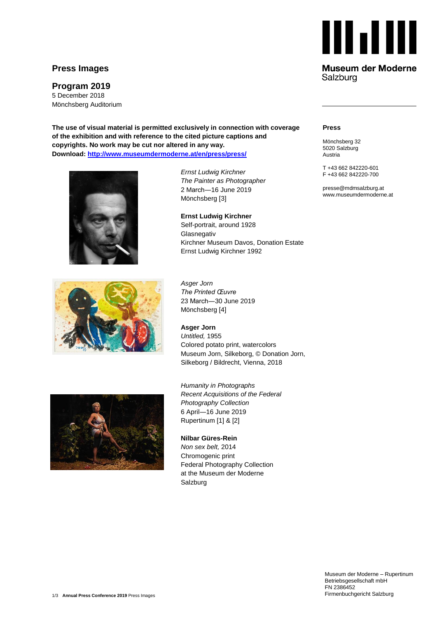# **Press Images**

# **Program 2019**

5 December 2018 Mönchsberg Auditorium

**The use of visual material is permitted exclusively in connection with coverage of the exhibition and with reference to the cited picture captions and copyrights. No work may be cut nor altered in any way. Download:<http://www.museumdermoderne.at/en/press/press/>**





*Ernst Ludwig Kirchner The Painter as Photographer* 2 March―16 June 2019 Mönchsberg [3]

**Ernst Ludwig Kirchner** Self-portrait, around 1928 Glasnegativ Kirchner Museum Davos, Donation Estate Ernst Ludwig Kirchner 1992

*Asger Jorn The Printed Œuvre* 23 March―30 June 2019 Mönchsberg [4]

**Asger Jorn** *Untitled,* 1955 Colored potato print, watercolors Museum Jorn, Silkeborg, © Donation Jorn, Silkeborg / Bildrecht, Vienna, 2018



*Humanity in Photographs Recent Acquisitions of the Federal Photography Collection* 6 April―16 June 2019 Rupertinum [1] & [2]

**Nilbar Güres-Rein** *Non sex belt,* 2014 Chromogenic print Federal Photography Collection at the Museum der Moderne Salzburg



### **Museum der Moderne** Salzburg

#### **Press**

Mönchsberg 32 5020 Salzburg Austria

T +43 662 842220-601 F +43 662 842220-700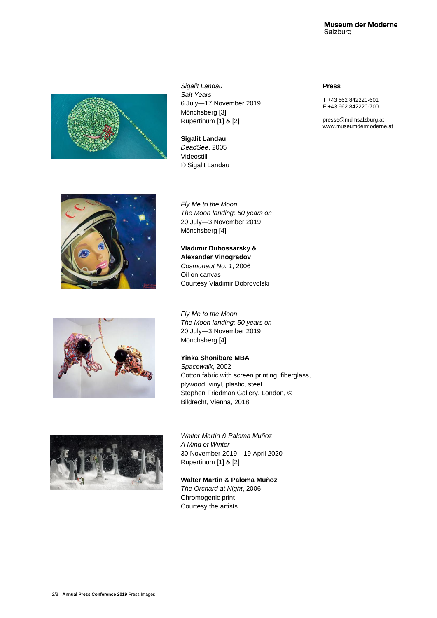

*Sigalit Landau Salt Years* 6 July―17 November 2019 Mönchsberg [3] Rupertinum [1] & [2]

**Sigalit Landau** *DeadSee*, 2005 Videostill © Sigalit Landau





*Fly Me to the Moon The Moon landing: 50 years on* 20 July―3 November 2019 Mönchsberg [4]

**Vladimir Dubossarsky & Alexander Vinogradov** *Cosmonaut No. 1*, 2006 Oil on canvas Courtesy Vladimir Dobrovolski

*Fly Me to the Moon The Moon landing: 50 years on* 20 July―3 November 2019 Mönchsberg [4]

### **Yinka Shonibare MBA** *Spacewalk*, 2002 Cotton fabric with screen printing, fiberglass, plywood, vinyl, plastic, steel Stephen Friedman Gallery, London, © Bildrecht, Vienna, 2018



*Walter Martin & Paloma Muñoz A Mind of Winter* 30 November 2019―19 April 2020 Rupertinum [1] & [2]

**Walter Martin & Paloma Muñoz**  *The Orchard at Night*, 2006 Chromogenic print Courtesy the artists

#### **Press**

T +43 662 842220-601 F +43 662 842220-700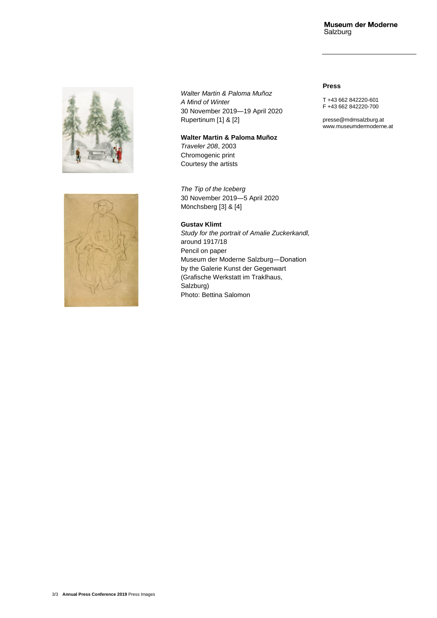



*Walter Martin & Paloma Muñoz A Mind of Winter* 30 November 2019―19 April 2020 Rupertinum [1] & [2]

## **Walter Martin & Paloma Muñoz**

*Traveler 208*, 2003 Chromogenic print Courtesy the artists

*The Tip of the Iceberg* 30 November 2019―5 April 2020 Mönchsberg [3] & [4]

### **Gustav Klimt**

*Study for the portrait of Amalie Zuckerkandl,*  around 1917/18 Pencil on paper Museum der Moderne Salzburg―Donation by the Galerie Kunst der Gegenwart (Grafische Werkstatt im Traklhaus, Salzburg) Photo: Bettina Salomon

#### **Press**

T +43 662 842220-601 F +43 662 842220-700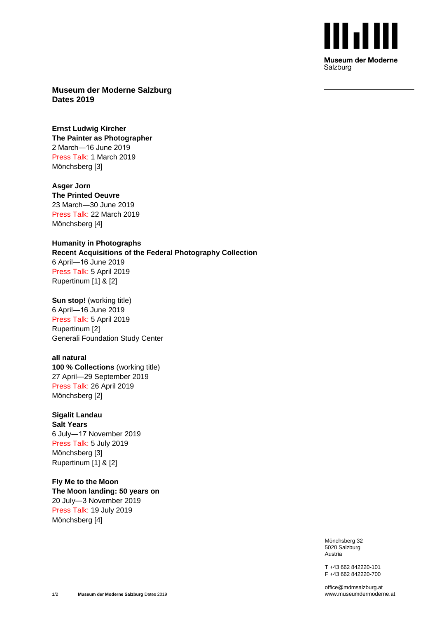

**Museum der Moderne Salzburg Dates 2019**

**Ernst Ludwig Kircher The Painter as Photographer** 2 March―16 June 2019 Press Talk: 1 March 2019 Mönchsberg [3]

**Asger Jorn The Printed Oeuvre** 23 March―30 June 2019 Press Talk: 22 March 2019 Mönchsberg [4]

**Humanity in Photographs Recent Acquisitions of the Federal Photography Collection** 6 April―16 June 2019 Press Talk: 5 April 2019 Rupertinum [1] & [2]

**Sun stop!** (working title) 6 April―16 June 2019 Press Talk: 5 April 2019 Rupertinum [2] Generali Foundation Study Center

**all natural 100 % Collections** (working title) 27 April―29 September 2019 Press Talk: 26 April 2019 Mönchsberg [2]

# **Sigalit Landau**

**Salt Years** 6 July―17 November 2019 Press Talk: 5 July 2019 Mönchsberg [3] Rupertinum [1] & [2]

**Fly Me to the Moon The Moon landing: 50 years on** 20 July―3 November 2019 Press Talk: 19 July 2019 Mönchsberg [4]

> Mönchsberg 32 5020 Salzburg Austria

T +43 662 842220-101 F +43 662 842220-700

office@mdmsalzburg.at